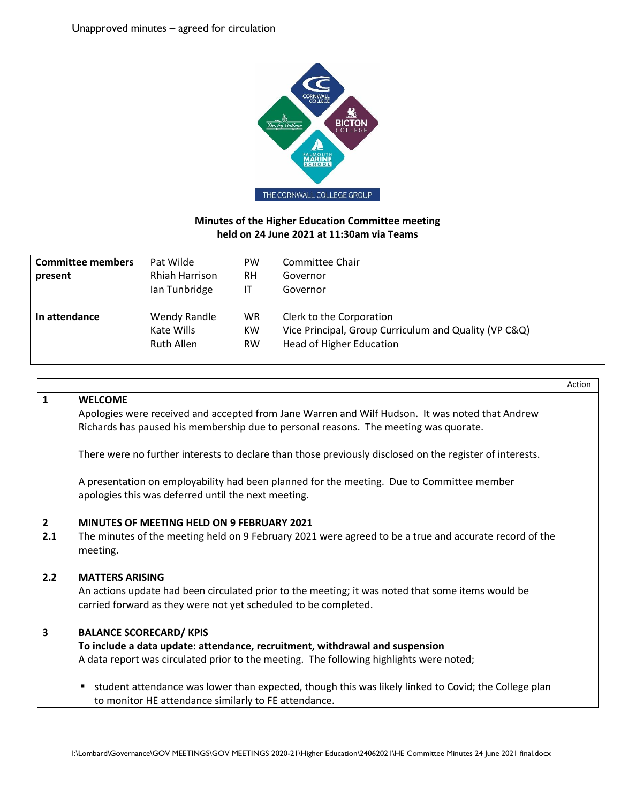

## **Minutes of the Higher Education Committee meeting held on 24 June 2021 at 11:30am via Teams**

| <b>Committee members</b> | Pat Wilde         | <b>PW</b> | Committee Chair                                       |
|--------------------------|-------------------|-----------|-------------------------------------------------------|
| present                  | Rhiah Harrison    | <b>RH</b> | Governor                                              |
|                          | Ian Tunbridge     | ΙT        | Governor                                              |
| In attendance            | Wendy Randle      | <b>WR</b> | Clerk to the Corporation                              |
|                          | Kate Wills        | <b>KW</b> | Vice Principal, Group Curriculum and Quality (VP C&Q) |
|                          | <b>Ruth Allen</b> | <b>RW</b> | <b>Head of Higher Education</b>                       |

|                       |                                                                                                                                                                                                                                                                                                                                                                                | Action |
|-----------------------|--------------------------------------------------------------------------------------------------------------------------------------------------------------------------------------------------------------------------------------------------------------------------------------------------------------------------------------------------------------------------------|--------|
| $\mathbf{1}$          | <b>WELCOME</b><br>Apologies were received and accepted from Jane Warren and Wilf Hudson. It was noted that Andrew<br>Richards has paused his membership due to personal reasons. The meeting was quorate.                                                                                                                                                                      |        |
|                       | There were no further interests to declare than those previously disclosed on the register of interests.<br>A presentation on employability had been planned for the meeting. Due to Committee member<br>apologies this was deferred until the next meeting.                                                                                                                   |        |
| $\overline{2}$<br>2.1 | <b>MINUTES OF MEETING HELD ON 9 FEBRUARY 2021</b><br>The minutes of the meeting held on 9 February 2021 were agreed to be a true and accurate record of the<br>meeting.                                                                                                                                                                                                        |        |
| 2.2                   | <b>MATTERS ARISING</b><br>An actions update had been circulated prior to the meeting; it was noted that some items would be<br>carried forward as they were not yet scheduled to be completed.                                                                                                                                                                                 |        |
| 3                     | <b>BALANCE SCORECARD/ KPIS</b><br>To include a data update: attendance, recruitment, withdrawal and suspension<br>A data report was circulated prior to the meeting. The following highlights were noted;<br>student attendance was lower than expected, though this was likely linked to Covid; the College plan<br>٠<br>to monitor HE attendance similarly to FE attendance. |        |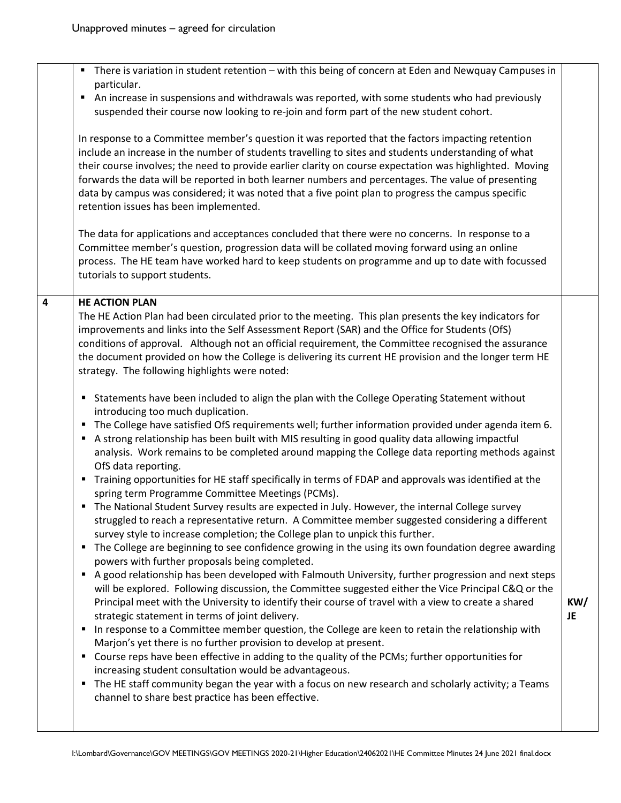|   | There is variation in student retention – with this being of concern at Eden and Newquay Campuses in<br>$\blacksquare$<br>particular.<br>An increase in suspensions and withdrawals was reported, with some students who had previously<br>п<br>suspended their course now looking to re-join and form part of the new student cohort.<br>In response to a Committee member's question it was reported that the factors impacting retention<br>include an increase in the number of students travelling to sites and students understanding of what<br>their course involves; the need to provide earlier clarity on course expectation was highlighted. Moving<br>forwards the data will be reported in both learner numbers and percentages. The value of presenting<br>data by campus was considered; it was noted that a five point plan to progress the campus specific<br>retention issues has been implemented.<br>The data for applications and acceptances concluded that there were no concerns. In response to a<br>Committee member's question, progression data will be collated moving forward using an online<br>process. The HE team have worked hard to keep students on programme and up to date with focussed<br>tutorials to support students.                                                                                                                                                                                                                                                                                                                                                                                                                                                                                                                                                                                                                                                                                                                                                                                                                                                                                                                                                                                                                                                                                                                                                                                                                                               |                  |
|---|------------------------------------------------------------------------------------------------------------------------------------------------------------------------------------------------------------------------------------------------------------------------------------------------------------------------------------------------------------------------------------------------------------------------------------------------------------------------------------------------------------------------------------------------------------------------------------------------------------------------------------------------------------------------------------------------------------------------------------------------------------------------------------------------------------------------------------------------------------------------------------------------------------------------------------------------------------------------------------------------------------------------------------------------------------------------------------------------------------------------------------------------------------------------------------------------------------------------------------------------------------------------------------------------------------------------------------------------------------------------------------------------------------------------------------------------------------------------------------------------------------------------------------------------------------------------------------------------------------------------------------------------------------------------------------------------------------------------------------------------------------------------------------------------------------------------------------------------------------------------------------------------------------------------------------------------------------------------------------------------------------------------------------------------------------------------------------------------------------------------------------------------------------------------------------------------------------------------------------------------------------------------------------------------------------------------------------------------------------------------------------------------------------------------------------------------------------------------------------------------------------------|------------------|
| 4 | <b>HE ACTION PLAN</b><br>The HE Action Plan had been circulated prior to the meeting. This plan presents the key indicators for<br>improvements and links into the Self Assessment Report (SAR) and the Office for Students (OfS)<br>conditions of approval. Although not an official requirement, the Committee recognised the assurance<br>the document provided on how the College is delivering its current HE provision and the longer term HE<br>strategy. The following highlights were noted:<br>Statements have been included to align the plan with the College Operating Statement without<br>п<br>introducing too much duplication.<br>The College have satisfied OfS requirements well; further information provided under agenda item 6.<br>A strong relationship has been built with MIS resulting in good quality data allowing impactful<br>analysis. Work remains to be completed around mapping the College data reporting methods against<br>OfS data reporting.<br>Training opportunities for HE staff specifically in terms of FDAP and approvals was identified at the<br>٠<br>spring term Programme Committee Meetings (PCMs).<br>The National Student Survey results are expected in July. However, the internal College survey<br>٠<br>struggled to reach a representative return. A Committee member suggested considering a different<br>survey style to increase completion; the College plan to unpick this further.<br>The College are beginning to see confidence growing in the using its own foundation degree awarding<br>٠<br>powers with further proposals being completed.<br>A good relationship has been developed with Falmouth University, further progression and next steps<br>٠<br>will be explored. Following discussion, the Committee suggested either the Vice Principal C&Q or the<br>Principal meet with the University to identify their course of travel with a view to create a shared<br>strategic statement in terms of joint delivery.<br>In response to a Committee member question, the College are keen to retain the relationship with<br>п<br>Marjon's yet there is no further provision to develop at present.<br>Course reps have been effective in adding to the quality of the PCMs; further opportunities for<br>٠<br>increasing student consultation would be advantageous.<br>The HE staff community began the year with a focus on new research and scholarly activity; a Teams<br>٠<br>channel to share best practice has been effective. | KW/<br><b>JE</b> |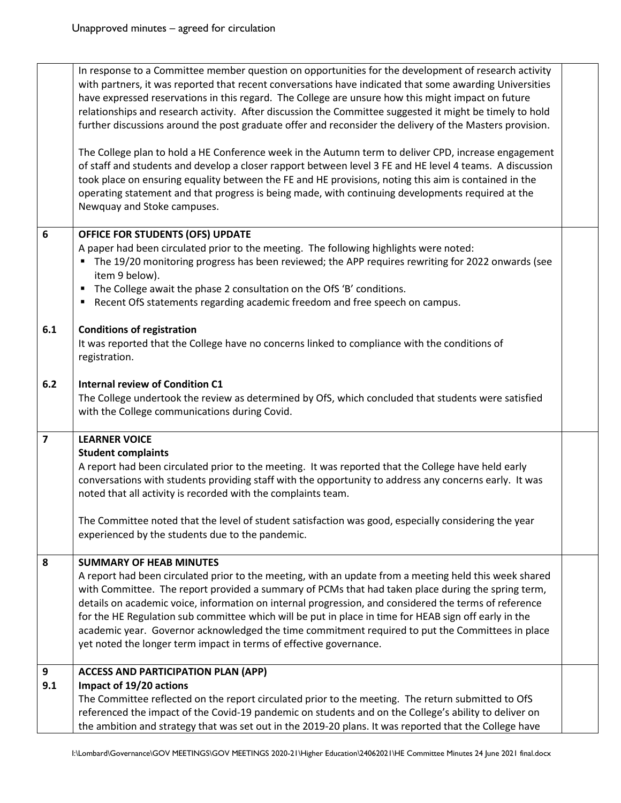|                         | In response to a Committee member question on opportunities for the development of research activity<br>with partners, it was reported that recent conversations have indicated that some awarding Universities<br>have expressed reservations in this regard. The College are unsure how this might impact on future<br>relationships and research activity. After discussion the Committee suggested it might be timely to hold<br>further discussions around the post graduate offer and reconsider the delivery of the Masters provision.<br>The College plan to hold a HE Conference week in the Autumn term to deliver CPD, increase engagement<br>of staff and students and develop a closer rapport between level 3 FE and HE level 4 teams. A discussion<br>took place on ensuring equality between the FE and HE provisions, noting this aim is contained in the<br>operating statement and that progress is being made, with continuing developments required at the<br>Newquay and Stoke campuses. |  |
|-------------------------|----------------------------------------------------------------------------------------------------------------------------------------------------------------------------------------------------------------------------------------------------------------------------------------------------------------------------------------------------------------------------------------------------------------------------------------------------------------------------------------------------------------------------------------------------------------------------------------------------------------------------------------------------------------------------------------------------------------------------------------------------------------------------------------------------------------------------------------------------------------------------------------------------------------------------------------------------------------------------------------------------------------|--|
| $6\phantom{1}$          | OFFICE FOR STUDENTS (OFS) UPDATE<br>A paper had been circulated prior to the meeting. The following highlights were noted:<br>The 19/20 monitoring progress has been reviewed; the APP requires rewriting for 2022 onwards (see<br>item 9 below).<br>" The College await the phase 2 consultation on the OfS 'B' conditions.<br>Recent OfS statements regarding academic freedom and free speech on campus.                                                                                                                                                                                                                                                                                                                                                                                                                                                                                                                                                                                                    |  |
| 6.1                     | <b>Conditions of registration</b><br>It was reported that the College have no concerns linked to compliance with the conditions of<br>registration.                                                                                                                                                                                                                                                                                                                                                                                                                                                                                                                                                                                                                                                                                                                                                                                                                                                            |  |
| 6.2                     | <b>Internal review of Condition C1</b><br>The College undertook the review as determined by OfS, which concluded that students were satisfied<br>with the College communications during Covid.                                                                                                                                                                                                                                                                                                                                                                                                                                                                                                                                                                                                                                                                                                                                                                                                                 |  |
| $\overline{\mathbf{z}}$ | <b>LEARNER VOICE</b><br><b>Student complaints</b><br>A report had been circulated prior to the meeting. It was reported that the College have held early<br>conversations with students providing staff with the opportunity to address any concerns early. It was<br>noted that all activity is recorded with the complaints team.<br>The Committee noted that the level of student satisfaction was good, especially considering the year<br>experienced by the students due to the pandemic.                                                                                                                                                                                                                                                                                                                                                                                                                                                                                                                |  |
| 8                       | <b>SUMMARY OF HEAB MINUTES</b><br>A report had been circulated prior to the meeting, with an update from a meeting held this week shared<br>with Committee. The report provided a summary of PCMs that had taken place during the spring term,<br>details on academic voice, information on internal progression, and considered the terms of reference<br>for the HE Regulation sub committee which will be put in place in time for HEAB sign off early in the<br>academic year. Governor acknowledged the time commitment required to put the Committees in place<br>yet noted the longer term impact in terms of effective governance.                                                                                                                                                                                                                                                                                                                                                                     |  |
| 9<br>9.1                | <b>ACCESS AND PARTICIPATION PLAN (APP)</b><br>Impact of 19/20 actions<br>The Committee reflected on the report circulated prior to the meeting. The return submitted to OfS<br>referenced the impact of the Covid-19 pandemic on students and on the College's ability to deliver on<br>the ambition and strategy that was set out in the 2019-20 plans. It was reported that the College have                                                                                                                                                                                                                                                                                                                                                                                                                                                                                                                                                                                                                 |  |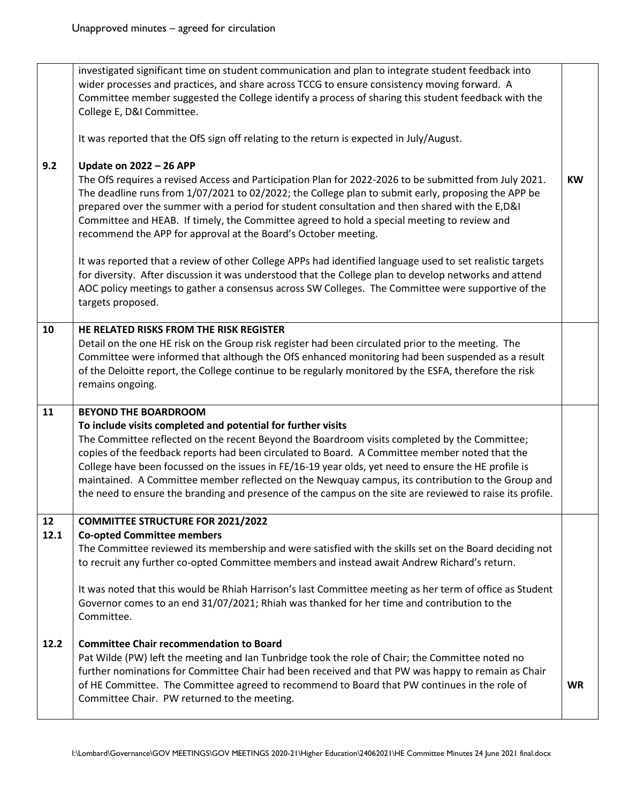| 9.2  | investigated significant time on student communication and plan to integrate student feedback into<br>wider processes and practices, and share across TCCG to ensure consistency moving forward. A<br>Committee member suggested the College identify a process of sharing this student feedback with the<br>College E, D&I Committee.<br>It was reported that the OfS sign off relating to the return is expected in July/August.<br><b>Update on 2022 - 26 APP</b><br>The OfS requires a revised Access and Participation Plan for 2022-2026 to be submitted from July 2021.<br>The deadline runs from 1/07/2021 to 02/2022; the College plan to submit early, proposing the APP be<br>prepared over the summer with a period for student consultation and then shared with the E,D&I<br>Committee and HEAB. If timely, the Committee agreed to hold a special meeting to review and<br>recommend the APP for approval at the Board's October meeting.<br>It was reported that a review of other College APPs had identified language used to set realistic targets<br>for diversity. After discussion it was understood that the College plan to develop networks and attend<br>AOC policy meetings to gather a consensus across SW Colleges. The Committee were supportive of the<br>targets proposed. | <b>KW</b> |
|------|------------------------------------------------------------------------------------------------------------------------------------------------------------------------------------------------------------------------------------------------------------------------------------------------------------------------------------------------------------------------------------------------------------------------------------------------------------------------------------------------------------------------------------------------------------------------------------------------------------------------------------------------------------------------------------------------------------------------------------------------------------------------------------------------------------------------------------------------------------------------------------------------------------------------------------------------------------------------------------------------------------------------------------------------------------------------------------------------------------------------------------------------------------------------------------------------------------------------------------------------------------------------------------------------------------|-----------|
| 10   | HE RELATED RISKS FROM THE RISK REGISTER                                                                                                                                                                                                                                                                                                                                                                                                                                                                                                                                                                                                                                                                                                                                                                                                                                                                                                                                                                                                                                                                                                                                                                                                                                                                    |           |
|      | Detail on the one HE risk on the Group risk register had been circulated prior to the meeting. The<br>Committee were informed that although the OfS enhanced monitoring had been suspended as a result<br>of the Deloitte report, the College continue to be regularly monitored by the ESFA, therefore the risk<br>remains ongoing.                                                                                                                                                                                                                                                                                                                                                                                                                                                                                                                                                                                                                                                                                                                                                                                                                                                                                                                                                                       |           |
| 11   | <b>BEYOND THE BOARDROOM</b>                                                                                                                                                                                                                                                                                                                                                                                                                                                                                                                                                                                                                                                                                                                                                                                                                                                                                                                                                                                                                                                                                                                                                                                                                                                                                |           |
|      | To include visits completed and potential for further visits<br>The Committee reflected on the recent Beyond the Boardroom visits completed by the Committee;<br>copies of the feedback reports had been circulated to Board. A Committee member noted that the<br>College have been focussed on the issues in FE/16-19 year olds, yet need to ensure the HE profile is<br>maintained. A Committee member reflected on the Newquay campus, its contribution to the Group and<br>the need to ensure the branding and presence of the campus on the site are reviewed to raise its profile.                                                                                                                                                                                                                                                                                                                                                                                                                                                                                                                                                                                                                                                                                                                  |           |
| 12   | <b>COMMITTEE STRUCTURE FOR 2021/2022</b>                                                                                                                                                                                                                                                                                                                                                                                                                                                                                                                                                                                                                                                                                                                                                                                                                                                                                                                                                                                                                                                                                                                                                                                                                                                                   |           |
| 12.1 | <b>Co-opted Committee members</b><br>The Committee reviewed its membership and were satisfied with the skills set on the Board deciding not<br>to recruit any further co-opted Committee members and instead await Andrew Richard's return.<br>It was noted that this would be Rhiah Harrison's last Committee meeting as her term of office as Student<br>Governor comes to an end 31/07/2021; Rhiah was thanked for her time and contribution to the<br>Committee.                                                                                                                                                                                                                                                                                                                                                                                                                                                                                                                                                                                                                                                                                                                                                                                                                                       |           |
| 12.2 | <b>Committee Chair recommendation to Board</b><br>Pat Wilde (PW) left the meeting and Ian Tunbridge took the role of Chair; the Committee noted no<br>further nominations for Committee Chair had been received and that PW was happy to remain as Chair<br>of HE Committee. The Committee agreed to recommend to Board that PW continues in the role of<br>Committee Chair. PW returned to the meeting.                                                                                                                                                                                                                                                                                                                                                                                                                                                                                                                                                                                                                                                                                                                                                                                                                                                                                                   | <b>WR</b> |